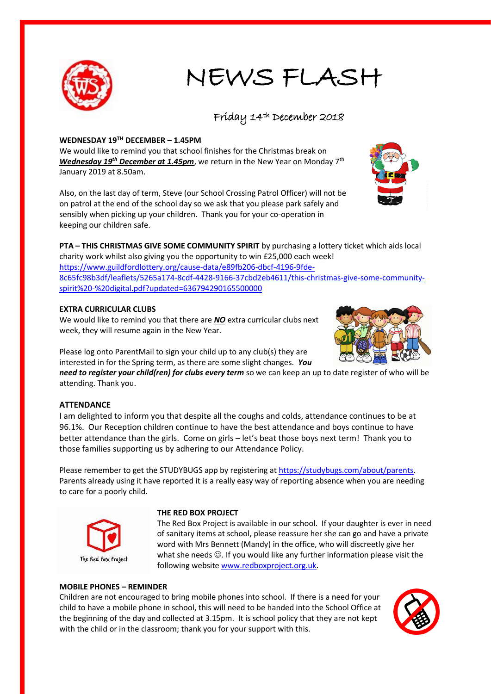

# NEWS FLASH

## Friday 14th December 2018

## **WEDNESDAY 19TH DECEMBER – 1.45PM**

We would like to remind you that school finishes for the Christmas break on *Wednesday 19<sup>th</sup> December at 1.45pm*, we return in the New Year on Monday 7<sup>th</sup> January 2019 at 8.50am.

Also, on the last day of term, Steve (our School Crossing Patrol Officer) will not be on patrol at the end of the school day so we ask that you please park safely and sensibly when picking up your children. Thank you for your co-operation in keeping our children safe.



## **EXTRA CURRICULAR CLUBS**

We would like to remind you that there are *NO* extra curricular clubs next week, they will resume again in the New Year.

Please log onto ParentMail to sign your child up to any club(s) they are interested in for the Spring term, as there are some slight changes. *You* 

*need to register your child(ren) for clubs every term* so we can keep an up to date register of who will be attending. Thank you.

## **ATTENDANCE**

I am delighted to inform you that despite all the coughs and colds, attendance continues to be at 96.1%. Our Reception children continue to have the best attendance and boys continue to have better attendance than the girls. Come on girls – let's beat those boys next term! Thank you to those families supporting us by adhering to our Attendance Policy.

Please remember to get the STUDYBUGS app by registering at [https://studybugs.com/about/parents.](https://studybugs.com/about/parents) Parents already using it have reported it is a really easy way of reporting absence when you are needing to care for a poorly child.



#### **THE RED BOX PROJECT**

The Red Box Project is available in our school. If your daughter is ever in need of sanitary items at school, please reassure her she can go and have a private word with Mrs Bennett (Mandy) in the office, who will discreetly give her what she needs  $\odot$ . If you would like any further information please visit the following websit[e www.redboxproject.org.uk.](http://www.redboxproject.org.uk/)

## **MOBILE PHONES – REMINDER**

Children are not encouraged to bring mobile phones into school. If there is a need for your child to have a mobile phone in school, this will need to be handed into the School Office at the beginning of the day and collected at 3.15pm. It is school policy that they are not kept with the child or in the classroom; thank you for your support with this.